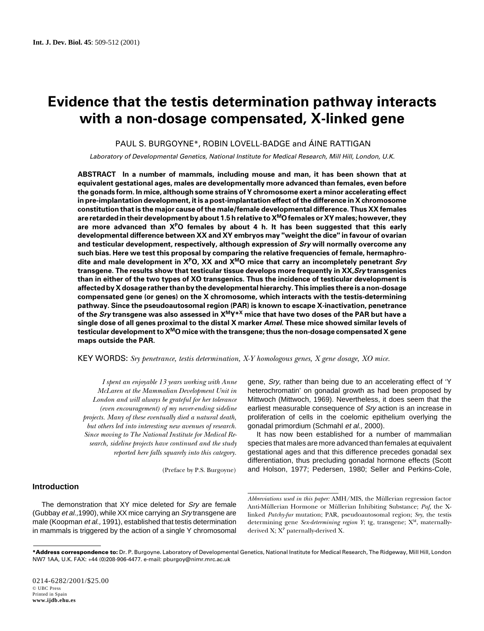# **Evidence that the testis determination pathway interacts with a non-dosage compensated, X-linked gene**

PAUL S. BURGOYNE\*, ROBIN LOVELL-BADGE and ÁINE RATTIGAN

Laboratory of Developmental Genetics, National Institute for Medical Research, Mill Hill, London, U.K.

**ABSTRACT In a number of mammals, including mouse and man, it has been shown that at equivalent gestational ages, males are developmentally more advanced than females, even before the gonads form. In mice, although some strains of Y chromosome exert a minor accelerating effect in pre-implantation development, it is a post-implantation effect of the difference in X chromosome constitution that is the major cause of the male/female developmental difference. Thus XX females are retarded in their development by about 1.5 h relative to XMO females or XY males; however, they are more advanced than XPO females by about 4 h. It has been suggested that this early developmental difference between XX and XY embryos may "weight the dice" in favour of ovarian and testicular development, respectively, although expression of Sry will normally overcome any such bias. Here we test this proposal by comparing the relative frequencies of female, hermaphrodite and male development in XPO, XX and XMO mice that carry an incompletely penetrant Sry transgene. The results show that testicular tissue develops more frequently in XX,Sry transgenics than in either of the two types of XO transgenics. Thus the incidence of testicular development is affected by X dosage rather than by the developmental hierarchy. This implies there is a non-dosage compensated gene (or genes) on the X chromosome, which interacts with the testis-determining pathway. Since the pseudoautosomal region (PAR) is known to escape X-inactivation, penetrance of the Sry transgene was also assessed in XMY\*X mice that have two doses of the PAR but have a single dose of all genes proximal to the distal X marker Amel. These mice showed similar levels of testicular development to XMO mice with the transgene; thus the non-dosage compensated X gene maps outside the PAR.**

KEY WORDS: *Sry penetrance, testis determination, X-Y homologous genes, X gene dosage, XO mice.*

*I spent an enjoyable 13 years working with Anne McLaren at the Mammalian Development Unit in London and will always be grateful for her tolerance (even encouragement) of my never-ending sideline projects. Many of these eventually died a natural death, but others led into interesting new avenues of research. Since moving to The National Institute for Medical Research, sideline projects have continued and the study reported here falls squarely into this category.*

(Preface by P.S. Burgoyne)

## **Introduction**

The demonstration that XY mice deleted for Sry are female (Gubbay et al.,1990), while XX mice carrying an Sry transgene are male (Koopman et al., 1991), established that testis determination in mammals is triggered by the action of a single Y chromosomal gene, Sry, rather than being due to an accelerating effect of 'Y heterochromatin' on gonadal growth as had been proposed by Mittwoch (Mittwoch, 1969). Nevertheless, it does seem that the earliest measurable consequence of Srv action is an increase in proliferation of cells in the coelomic epithelium overlying the gonadal primordium (Schmahl et al., 2000).

It has now been established for a number of mammalian species that males are more advanced than females at equivalent gestational ages and that this difference precedes gonadal sex differentiation, thus precluding gonadal hormone effects (Scott and Holson, 1977; Pedersen, 1980; Seller and Perkins-Cole,

*Abbreviations used in this paper:* AMH/MIS, the Müllerian regression factor Anti-Müllerian Hormone or Müllerian Inhibiting Substance; *Paf,* the Xlinked *Patchy-fur* mutation; PAR, pseudoautosomal region; *Sry*, the testis determining gene *Sex-determining region Y*; tg, transgene; X<sup>M</sup>, maternallyderived X; XP paternally-derived X*.*

**<sup>\*</sup>Address correspondence to:** Dr. P. Burgoyne. Laboratory of Developmental Genetics, National Institute for Medical Research, The Ridgeway, Mill Hill, London NW7 1AA, U.K. FAX: +44 (0)208-906-4477. e-mail: pburgoy@nimr.mrc.ac.uk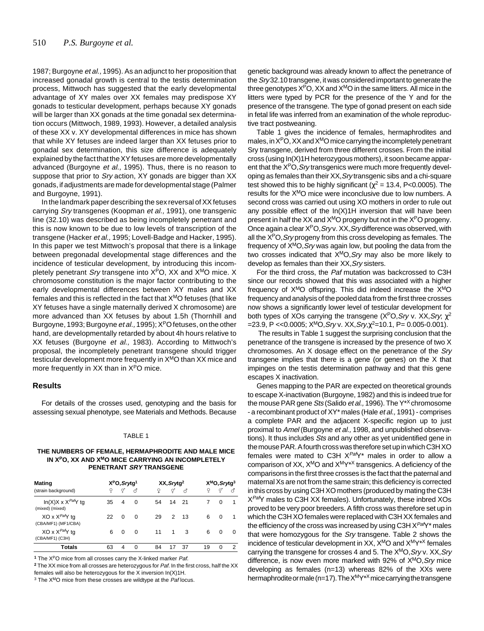1987; Burgoyne et al., 1995). As an adjunct to her proposition that increased gonadal growth is central to the testis determination process, Mittwoch has suggested that the early developmental advantage of XY males over XX females may predispose XY gonads to testicular development, perhaps because XY gonads will be larger than XX gonads at the time gonadal sex determination occurs (Mittwoch, 1989, 1993). However, a detailed analysis of these XX v. XY developmental differences in mice has shown that while XY fetuses are indeed larger than XX fetuses prior to gonadal sex determination, this size difference is adequately explained by the fact that the XY fetuses are more developmentally advanced (Burgoyne et al., 1995). Thus, there is no reason to suppose that prior to Sry action, XY gonads are bigger than XX gonads, if adjustments are made for developmental stage (Palmer and Burgoyne, 1991).

In the landmark paper describing the sex reversal of XX fetuses carrying Sry transgenes (Koopman et al., 1991), one transgenic line (32.10) was described as being incompletely penetrant and this is now known to be due to low levels of transcription of the transgene (Hacker et al., 1995; Lovell-Badge and Hacker, 1995). In this paper we test Mittwoch's proposal that there is a linkage between pregonadal developmental stage differences and the incidence of testicular development, by introducing this incompletely penetrant Sry transgene into  $X^{P}O$ , XX and  $X^{M}O$  mice. X chromosome constitution is the major factor contributing to the early developmental differences between XY males and XX females and this is reflected in the fact that  $X<sup>M</sup>O$  fetuses (that like XY fetuses have a single maternally derived X chromosome) are more advanced than XX fetuses by about 1.5h (Thornhill and Burgoyne, 1993; Burgoyne *et al.*, 1995); X<sup>P</sup>O fetuses, on the other hand, are developmentally retarded by about 4h hours relative to XX fetuses (Burgoyne et al., 1983). According to Mittwoch's proposal, the incompletely penetrant transgene should trigger testicular development more frequently in XMO than XX mice and more frequently in XX than in X<sup>P</sup>O mice.

## **Results**

For details of the crosses used, genotyping and the basis for assessing sexual phenotype, see Materials and Methods. Because

## TABLE 1

## **THE NUMBERS OF FEMALE, HERMAPHRODITE AND MALE MICE** IN X<sup>P</sup>O, XX AND X<sup>M</sup>O MICE CARRYING AN INCOMPLETELY **PENETRANT SRY TRANSGENE**

| <b>Mating</b><br>(strain background)              | $X^{P}O, Srytg1$ |          |          |    | XX, Srytg <sup>2</sup> |       |    |    | $X^{M}O, Srytg^{3}$ |    |  |  |
|---------------------------------------------------|------------------|----------|----------|----|------------------------|-------|----|----|---------------------|----|--|--|
|                                                   | Ϙ                | T        | ನೆ       |    | Q                      | q     | ♂  |    | P                   | ನೆ |  |  |
| $In(X)X \times X^{Paf}Y$ tg<br>(mixed) (mixed)    | 35               | 4        | 0        |    | 54                     | 14 21 |    |    | 0                   | -1 |  |  |
| XO x X <sup>Paf</sup> Y tq<br>(CBA/MF1) (MF1/CBA) | 22               | $\Omega$ | $\Omega$ | 29 |                        | 2     | 13 | 6  | 0                   | -1 |  |  |
| $XO \times X^{Paf}Y$ tg<br>(CBA/MF1) (C3H)        | 6                | 0        | 0        | 11 |                        | 1     | 3  | 6  | 0                   | 0  |  |  |
| Totals                                            | 63               | 4        | $\Omega$ | 84 |                        |       | 37 | 19 | $\Omega$            | 2  |  |  |

**<sup>1</sup>** The XPO mice from all crosses carry the X-linked marker Paf.

**<sup>2</sup>** The XX mice from all crosses are heterozygous for Paf. In the first cross, half the XX females will also be heterozygous for the X inversion In(X)1H.

 $3$  The  $X<sup>M</sup>O$  mice from these crosses are wildtype at the *Paf* locus.

genetic background was already known to affect the penetrance of the Srv32.10 transgene, it was considered important to generate the three genotypes  $X^{P}O$ , XX and  $X^{M}O$  in the same litters. All mice in the litters were typed by PCR for the presence of the Y and for the presence of the transgene. The type of gonad present on each side in fetal life was inferred from an examination of the whole reproductive tract postweaning.

Table 1 gives the incidence of females, hermaphrodites and males, in  $X^P$ O, XX and  $X^M$ O mice carrying the incompletely penetrant Sry transgene, derived from three different crosses. From the initial cross (using In(X)1H heterozygous mothers), it soon became apparent that the  $X<sup>P</sup>O$ , *Sry* transgenics were much more frequently developing as females than their XX, Sry transgenic sibs and a chi-square test showed this to be highly significant ( $\gamma^2$  = 13.4, P<0.0005). The results for the XMO mice were inconclusive due to low numbers. A second cross was carried out using XO mothers in order to rule out any possible effect of the  $In(X)1H$  inversion that will have been present in half the XX and  $X<sup>M</sup>O$  progeny but not in the  $X<sup>P</sup>O$  progeny. Once again a clear X<sup>P</sup>O, Sry v. XX, Sry difference was observed, with all the  $X^{p}O$ , *Sry* progeny from this cross developing as females. The frequency of  $X<sup>M</sup>O$ ,  $S<sub>IV</sub>$  was again low, but pooling the data from the two crosses indicated that  $X^{M}O$ , *Sry* may also be more likely to develop as females than their XX, Srv sisters.

For the third cross, the Paf mutation was backcrossed to C3H since our records showed that this was associated with a higher frequency of  $X^{M}O$  offspring. This did indeed increase the  $X^{M}O$ frequency and analysis of the pooled data from the first three crosses now shows a significantly lower level of testicular development for both types of XOs carrying the transgene ( $X^{P}O$ , *Sry* v. XX, *Sry*,  $\chi^{2}$  $=$ 23.9, P << 0.0005; X<sup>M</sup>O, *Sry* v. XX, *Sry*,  $\chi^2$  = 10.1, P = 0.005-0.001).

 The results in Table 1 suggest the surprising conclusion that the penetrance of the transgene is increased by the presence of two X chromosomes. An X dosage effect on the penetrance of the Sry transgene implies that there is a gene (or genes) on the X that impinges on the testis determination pathway and that this gene escapes X inactivation.

Genes mapping to the PAR are expected on theoretical grounds to escape X-inactivation (Burgoyne, 1982) and this is indeed true for the mouse PAR gene Sts (Salido et al., 1996). The  $Y^{*X}$  chromosome - a recombinant product of XY\* males (Hale et al., 1991) - comprises a complete PAR and the adjacent X-specific region up to just proximal to Amel (Burgoyne et al., 1998, and unpublished observations). It thus includes Sts and any other as yet unidentified gene in the mouse PAR. A fourth cross was therefore set up in which C3H XO females were mated to C3H  $X<sup>Paf</sup>Y<sup>*</sup>$  males in order to allow a comparison of XX, XMO and XMY\*X transgenics. A deficiency of the comparisons in the first three crosses is the fact that the paternal and maternal Xs are not from the same strain; this deficiency is corrected in this cross by using C3H XO mothers (produced by mating the C3H X<sup>Paf</sup>Y males to C3H XX females). Unfortunately, these inbred XOs proved to be very poor breeders. A fifth cross was therefore set up in which the C3H XO females were replaced with C3H XX females and the efficiency of the cross was increased by using C3H  $X^{Paf}Y^*$  males that were homozygous for the Sry transgene. Table 2 shows the incidence of testicular development in XX,  $X^{M}O$  and  $X^{M}Y^{*X}$  females carrying the transgene for crosses 4 and 5. The  $X<sup>M</sup>O$ ,  $S<sub>ry</sub> v$ . XX,  $S<sub>ry</sub>$ difference, is now even more marked with 92% of  $X<sup>M</sup>O$ ,  $S<sub>IV</sub>$  mice developing as females (n=13) whereas 82% of the XXs were hermaphrodite or male (n=17). The  $X^M Y^{*X}$  mice carrying the transgene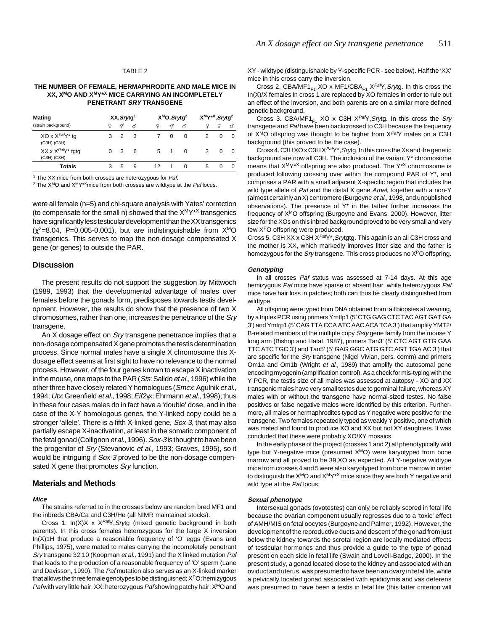#### TABLE 2

## **THE NUMBER OF FEMALE, HERMAPHRODITE AND MALE MICE IN XX, XMO AND XMY\*X MICE CARRYING AN INCOMPLETELY PENETRANT SRY TRANSGENE**

| <b>Mating</b><br>(strain background)  | XX, Srytg <sup>1</sup> |               |    |  |    | X <sup>M</sup> O, Srytg <sup>2</sup> |   | X <sup>M</sup> Y <sup>*X</sup> , Srytg <sup>2</sup> |          |          |  |
|---------------------------------------|------------------------|---------------|----|--|----|--------------------------------------|---|-----------------------------------------------------|----------|----------|--|
|                                       | Q                      |               | ನೆ |  |    | σ                                    | ೆ |                                                     | σ        |          |  |
| XO x $XPafY*$ tg<br>(C3H) (C3H)       | 3                      | $\mathcal{P}$ | 3  |  |    | $\Omega$                             | 0 |                                                     | $\Omega$ | 0        |  |
| XX x $X^{Paf}Y^*$ tgtg<br>(C3H) (C3H) | 0                      | 3             | 6  |  |    | 5 1                                  | 0 | 3                                                   | 0        | $\Omega$ |  |
| Totals                                |                        | 5             | 9  |  | 12 |                                      | 0 | 5                                                   | O        | 0        |  |

<sup>1</sup> The XX mice from both crosses are heterozygous for Paf.

<sup>2</sup> The  $X<sup>M</sup>O$  and  $X<sup>MY*X</sup>$ mice from both crosses are wildtype at the *Paf* locus.

were all female (n=5) and chi-square analysis with Yates' correction (to compensate for the small n) showed that the  $X^M Y^{*X}$  transgenics have significantly less testicular development than the XX transgenics  $(\chi^2=8.04, P=0.005-0.001)$ , but are indistinguishable from  $X<sup>M</sup>O$ transgenics. This serves to map the non-dosage compensated X gene (or genes) to outside the PAR.

## **Discussion**

The present results do not support the suggestion by Mittwoch (1989, 1993) that the developmental advantage of males over females before the gonads form, predisposes towards testis development. However, the results do show that the presence of two X chromosomes, rather than one, increases the penetrance of the Sry transgene.

An X dosage effect on Sry transgene penetrance implies that a non-dosage compensated X gene promotes the testis determination process. Since normal males have a single X chromosome this Xdosage effect seems at first sight to have no relevance to the normal process. However, of the four genes known to escape X inactivation in the mouse, one maps to the PAR (Sts: Salido et al., 1996) while the other three have closely related Y homologues (Smcx: Agulnik et al., 1994; Utx: Greenfield et al., 1998; Eif2γx: Ehrmann et al., 1998); thus in these four cases males do in fact have a 'double' dose, and in the case of the X-Y homologous genes, the Y-linked copy could be a stronger 'allele'. There is a fifth X-linked gene, Sox-3, that may also partially escape X-inactivation, at least in the somatic component of the fetal gonad (Collignon et al., 1996). Sox-3 is thought to have been the progenitor of Sry (Stevanovic et al., 1993; Graves, 1995), so it would be intriguing if Sox-3 proved to be the non-dosage compensated X gene that promotes Sry function.

## **Materials and Methods**

#### **Mice**

The strains referred to in the crosses below are random bred MF1 and the inbreds CBA/Ca and C3H/He (all NIMR maintained stocks).

Cross 1:  $In(X)X \times X<sup>Paf</sup>Y, S<sub>f</sub>ytg$  (mixed genetic background in both parents). In this cross females heterozygous for the large X inversion In(X)1H that produce a reasonable frequency of 'O' eggs (Evans and Phillips, 1975), were mated to males carrying the incompletely penetrant Sry transgene 32.10 (Koopman et al., 1991) and the X linked mutation Paf that leads to the production of a reasonable frequency of 'O' sperm (Lane and Davisson, 1990). The Paf mutation also serves as an X-linked marker that allows the three female genotypes to be distinguished;  $X^{P}O$ : hemizygous Paf with very little hair; XX: heterozygous Paf showing patchy hair; X<sup>M</sup>O and

XY - wildtype (distinguishable by Y-specific PCR - see below). Half the 'XX' mice in this cross carry the inversion.

Cross 2. CBA/MF1 $_{F1}$  XO x MF1/CBA<sub>F1</sub> X<sup>Paf</sup>Y, Srytg. In this cross the In(X)/X females in cross 1 are replaced by XO females in order to rule out an effect of the inversion, and both parents are on a similar more defined genetic background.

Cross 3. CBA/MF1<sub>F1</sub> XO x C3H  $X^{Pa/y}$ , Srytg. In this cross the Sry transgene and Paf have been backcrossed to C3H because the frequency of  $X^{M}O$  offspring was thought to be higher from  $X^{Paf}Y$  males on a C3H background (this proved to be the case).

Cross 4. C3H XO x C3H X<sup>Paf</sup>Y<sup>\*</sup>, Srytg. In this cross the Xs and the genetic background are now all C3H. The inclusion of the variant Y\* chromosome means that  $X^M Y^{*\times}$  offspring are also produced. The  $Y^{*\times}$  chromosome is produced following crossing over within the compound PAR of Y\*, and comprises a PAR with a small adjacent X-specific region that includes the wild type allele of Paf and the distal X gene Amel, together with a non-Y (almost certainly an X) centromere (Burgoyne et al., 1998, and unpublished observations). The presence of Y\* in the father further increases the frequency of XMO offspring (Burgoyne and Evans, 2000). However, litter size for the XOs on this inbred background proved to be very small and very few XPO offspring were produced.

Cross 5. C3H XX x C3H X<sup>Paf</sup>Y\*, Srytgtg. This again is an all C3H cross and the mother is XX, which markedly improves litter size and the father is homozygous for the Sry transgene. This cross produces no X<sup>P</sup>O offspring.

#### **Genotyping**

In all crosses Paf status was assessed at 7-14 days. At this age hemizygous Paf mice have sparse or absent hair, while heterozygous Paf mice have hair loss in patches; both can thus be clearly distinguished from wildtype.

All offspring were typed from DNA obtained from tail biopsies at weaning, by a triplex PCR using primers Ymtfp1 (5' CTG GAG CTC TAC AGT GAT GA 3') and Ymtrp1 (5' CAG TTA CCA ATC AAC ACA TCA 3') that amplify YMT2/ B-related members of the multiple copy Ssty gene family from the mouse Y long arm (Bishop and Hatat, 1987), primers Tan3' (5' CTC AGT GTG GAA TTC ATC TGC 3') and Tan5' (5' GAG GGC ATG GTC AGT TGA AC 3') that are specific for the Sry transgene (Nigel Vivian, pers. comm) and primers Om1a and Om1b (Wright et al., 1989) that amplify the autosomal gene encoding myogenin (amplification control). As a check for mis-typing with the Y PCR, the testis size of all males was assessed at autopsy - XO and XX transgenic males have very small testes due to germinal failure, whereas XY males with or without the transgene have normal-sized testes. No false positives or false negative males were identified by this criterion. Furthermore, all males or hermaphrodites typed as Y negative were positive for the transgene. Two females repeatedly typed as weakly Y positive, one of which was mated and found to produce XO and XX but not XY daughters. It was concluded that these were probably XO/XY mosaics.

In the early phase of the project (crosses 1 and 2) all phenotypically wild type but Y-negative mice (presumed X<sup>M</sup>O) were karyotyped from bone marrow and all proved to be 39,XO as expected. All Y-negative wildtype mice from crosses 4 and 5 were also karyotyped from bone marrow in order to distinguish the  $X^{M}O$  and  $X^{M}Y^{*X}$  mice since they are both Y negative and wild type at the Paf locus.

#### **Sexual phenotype**

Intersexual gonads (ovotestes) can only be reliably scored in fetal life because the ovarian component usually regresses due to a 'toxic' effect of AMH/MIS on fetal oocytes (Burgoyne and Palmer, 1992). However, the development of the reproductive ducts and descent of the gonad from just below the kidney towards the scrotal region are locally mediated effects of testicular hormones and thus provide a guide to the type of gonad present on each side in fetal life (Swain and Lovell-Badge, 2000). In the present study, a gonad located close to the kidney and associated with an oviduct and uterus, was presumed to have been an ovary in fetal life, while a pelvically located gonad associated with epididymis and vas deferens was presumed to have been a testis in fetal life (this latter criterion will